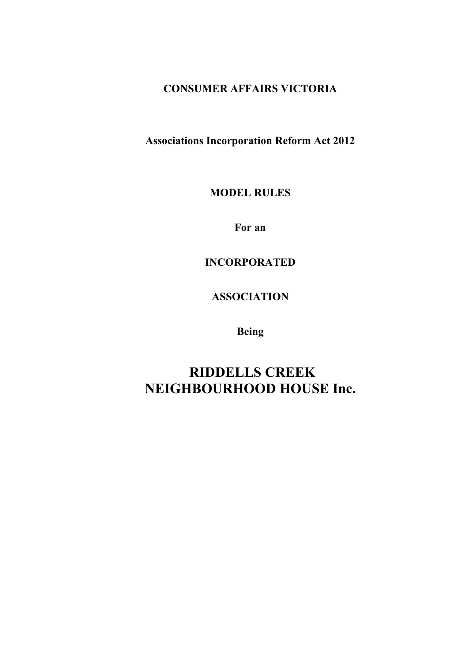# **CONSUMER AFFAIRS VICTORIA**

**Associations Incorporation Reform Act 2012**

**MODEL RULES**

**For an** 

**INCORPORATED** 

**ASSOCIATION**

**Being**

**RIDDELLS CREEK NEIGHBOURHOOD HOUSE Inc.**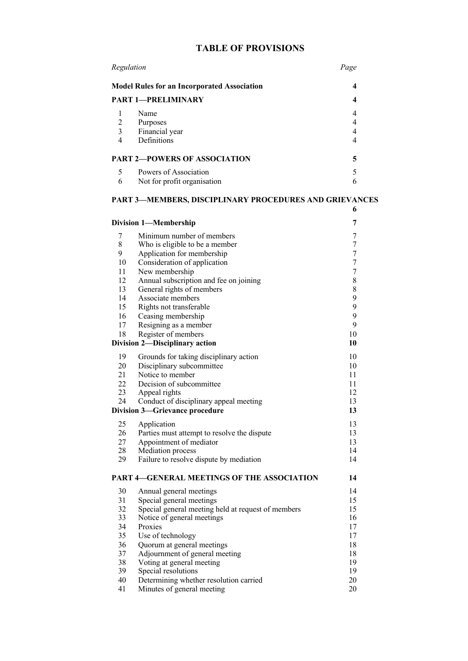# **TABLE OF PROVISIONS**

| Regulation<br><b>Model Rules for an Incorporated Association</b><br><b>PART 1-PRELIMINARY</b> |                                                      | Page |
|-----------------------------------------------------------------------------------------------|------------------------------------------------------|------|
|                                                                                               |                                                      | 4    |
|                                                                                               |                                                      |      |
| 2<br>3<br>4                                                                                   | Name<br>Purposes<br>Financial year<br>Definitions    |      |
| <b>PART 2-POWERS OF ASSOCIATION</b>                                                           |                                                      | 5    |
| 5<br>6                                                                                        | Powers of Association<br>Not for profit organisation |      |

### **PART 3—MEMBERS, DISCIPLINARY PROCEDURES AND GRIEVANCES**

**6**

| <b>Division 1-Membership</b>               |                                                    | 7                |
|--------------------------------------------|----------------------------------------------------|------------------|
| 7                                          | Minimum number of members                          | 7                |
| 8                                          | Who is eligible to be a member                     | $\tau$           |
| 9                                          | Application for membership                         | $\boldsymbol{7}$ |
| 10                                         | Consideration of application                       | $\tau$           |
| 11                                         | New membership                                     | $\tau$           |
| 12                                         | Annual subscription and fee on joining             | 8                |
| 13                                         | General rights of members                          | 8                |
| 14                                         | Associate members                                  | 9                |
| 15                                         | Rights not transferable                            | 9                |
| 16                                         | Ceasing membership                                 | 9                |
| 17                                         | Resigning as a member                              | 9                |
| 18                                         | Register of members                                | 10               |
| <b>Division 2-Disciplinary action</b>      |                                                    | 10               |
| 19                                         | Grounds for taking disciplinary action             | 10               |
| 20                                         | Disciplinary subcommittee                          | 10               |
| 21                                         | Notice to member                                   | 11               |
| 22                                         | Decision of subcommittee                           | 11               |
| 23                                         | Appeal rights                                      | 12               |
| 24                                         | Conduct of disciplinary appeal meeting             | 13               |
| <b>Division 3-Grievance procedure</b>      |                                                    | 13               |
| 25                                         | Application                                        | 13               |
| 26                                         | Parties must attempt to resolve the dispute        | 13               |
| 27                                         | Appointment of mediator                            | 13               |
| 28                                         | Mediation process                                  | 14               |
| 29                                         | Failure to resolve dispute by mediation            | 14               |
| PART 4-GENERAL MEETINGS OF THE ASSOCIATION |                                                    | 14               |
| 30                                         | Annual general meetings                            | 14               |
| 31                                         | Special general meetings                           | 15               |
| 32                                         | Special general meeting held at request of members | 15               |
| 33                                         | Notice of general meetings                         | 16               |
| 34                                         | Proxies                                            | 17               |
| 35                                         | Use of technology                                  | 17               |
| 36                                         | Quorum at general meetings                         | 18               |
| 37                                         | Adjournment of general meeting                     | 18               |
| 38                                         | Voting at general meeting                          | 19               |
| 39                                         | Special resolutions                                | 19               |
| 40                                         | Determining whether resolution carried             | 20               |
| 41                                         | Minutes of general meeting                         | 20               |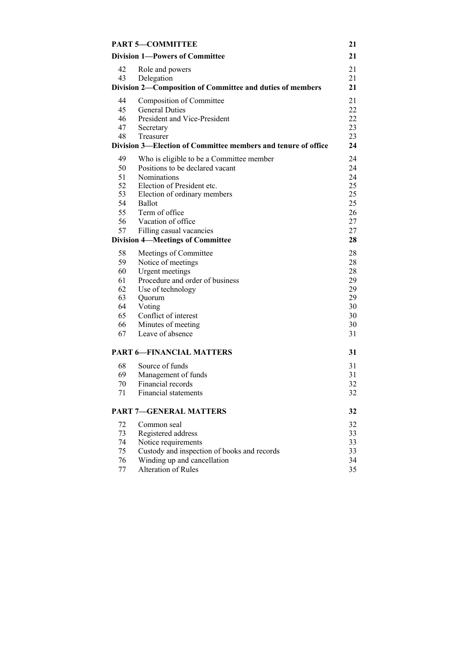| <b>PART 5-COMMITTEE</b>                                   |                                                               | 21 |
|-----------------------------------------------------------|---------------------------------------------------------------|----|
| <b>Division 1-Powers of Committee</b>                     |                                                               | 21 |
| 42                                                        | Role and powers                                               | 21 |
| 43                                                        | Delegation                                                    | 21 |
| Division 2-Composition of Committee and duties of members |                                                               |    |
| 44                                                        | Composition of Committee                                      | 21 |
| 45                                                        | <b>General Duties</b>                                         | 22 |
| 46                                                        | President and Vice-President                                  | 22 |
| 47                                                        | Secretary                                                     | 23 |
| 48                                                        | Treasurer                                                     | 23 |
|                                                           | Division 3—Election of Committee members and tenure of office | 24 |
| 49                                                        | Who is eligible to be a Committee member                      | 24 |
| 50                                                        | Positions to be declared vacant                               | 24 |
| 51                                                        | <b>Nominations</b>                                            | 24 |
| 52                                                        | Election of President etc.                                    | 25 |
| 53                                                        | Election of ordinary members                                  | 25 |
| 54                                                        | <b>Ballot</b>                                                 | 25 |
| 55                                                        | Term of office                                                | 26 |
| 56                                                        | Vacation of office                                            | 27 |
| 57                                                        | Filling casual vacancies                                      | 27 |
|                                                           | <b>Division 4-Meetings of Committee</b>                       | 28 |
| 58                                                        | Meetings of Committee                                         | 28 |
| 59                                                        | Notice of meetings                                            | 28 |
| 60                                                        | Urgent meetings                                               | 28 |
| 61                                                        | Procedure and order of business                               | 29 |
| 62                                                        | Use of technology                                             | 29 |
| 63                                                        | Quorum                                                        | 29 |
| 64                                                        | Voting                                                        | 30 |
| 65                                                        | Conflict of interest                                          | 30 |
| 66                                                        | Minutes of meeting                                            | 30 |
| 67                                                        | Leave of absence                                              | 31 |
|                                                           | <b>PART 6-FINANCIAL MATTERS</b>                               | 31 |
| 68                                                        | Source of funds                                               | 31 |
| 69                                                        | Management of funds                                           | 31 |
| 70                                                        | Financial records                                             | 32 |
| 71                                                        | Financial statements                                          | 32 |
| <b>PART 7-GENERAL MATTERS</b>                             |                                                               | 32 |
| 72                                                        | Common seal                                                   | 32 |
| 73                                                        | Registered address                                            | 33 |
| 74                                                        | Notice requirements                                           | 33 |
| 75                                                        | Custody and inspection of books and records                   | 33 |
| 76                                                        | Winding up and cancellation                                   | 34 |
| 77                                                        | Alteration of Rules                                           | 35 |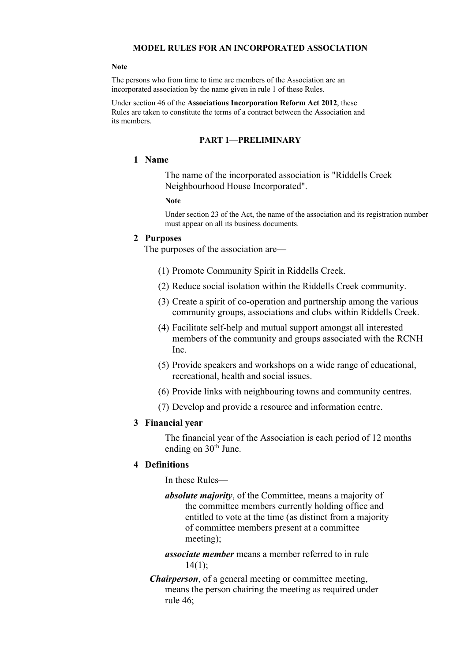#### **MODEL RULES FOR AN INCORPORATED ASSOCIATION**

#### **Note**

The persons who from time to time are members of the Association are an incorporated association by the name given in rule 1 of these Rules.

Under section 46 of the **Associations Incorporation Reform Act 2012**, these Rules are taken to constitute the terms of a contract between the Association and its members.

#### **PART 1—PRELIMINARY**

### **1 Name**

The name of the incorporated association is "Riddells Creek Neighbourhood House Incorporated".

#### **Note**

Under section 23 of the Act, the name of the association and its registration number must appear on all its business documents.

### **2 Purposes**

The purposes of the association are—

- (1) Promote Community Spirit in Riddells Creek.
- (2) Reduce social isolation within the Riddells Creek community.
- (3) Create a spirit of co-operation and partnership among the various community groups, associations and clubs within Riddells Creek.
- (4) Facilitate self-help and mutual support amongst all interested members of the community and groups associated with the RCNH Inc.
- (5) Provide speakers and workshops on a wide range of educational, recreational, health and social issues.
- (6) Provide links with neighbouring towns and community centres.
- (7) Develop and provide a resource and information centre.

#### **3 Financial year**

The financial year of the Association is each period of 12 months ending on 30<sup>th</sup> June.

#### **4 Definitions**

In these Rules—

*absolute majority*, of the Committee, means a majority of the committee members currently holding office and entitled to vote at the time (as distinct from a majority of committee members present at a committee meeting);

*associate member* means a member referred to in rule 14(1);

*Chairperson*, of a general meeting or committee meeting, means the person chairing the meeting as required under rule 46;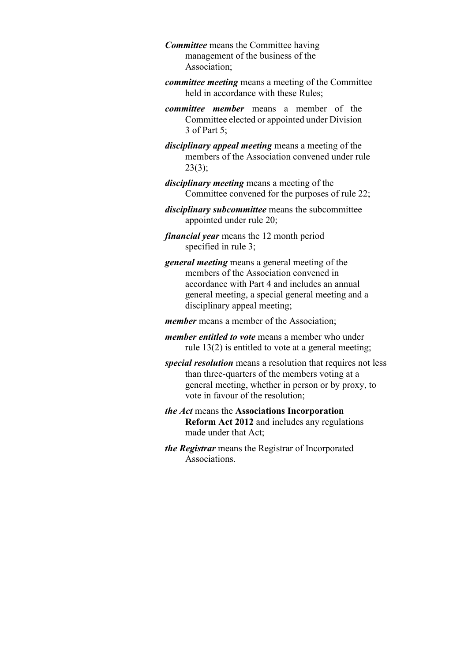*Committee* means the Committee having management of the business of the Association;

- *committee meeting* means a meeting of the Committee held in accordance with these Rules;
- *committee member* means a member of the Committee elected or appointed under Division 3 of Part 5;
- *disciplinary appeal meeting* means a meeting of the members of the Association convened under rule 23(3);
- *disciplinary meeting* means a meeting of the Committee convened for the purposes of rule 22;
- *disciplinary subcommittee* means the subcommittee appointed under rule 20;
- *financial year* means the 12 month period specified in rule 3;
- *general meeting* means a general meeting of the members of the Association convened in accordance with Part 4 and includes an annual general meeting, a special general meeting and a disciplinary appeal meeting;
- *member* means a member of the Association;
- *member entitled to vote* means a member who under rule 13(2) is entitled to vote at a general meeting;
- *special resolution* means a resolution that requires not less than three-quarters of the members voting at a general meeting, whether in person or by proxy, to vote in favour of the resolution;
- *the Act* means the **Associations Incorporation Reform Act 2012** and includes any regulations made under that Act;
- *the Registrar* means the Registrar of Incorporated Associations.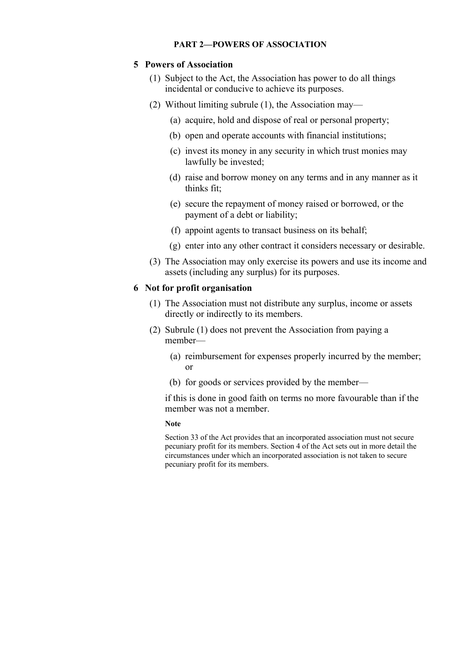# **5 Powers of Association**

- (1) Subject to the Act, the Association has power to do all things incidental or conducive to achieve its purposes.
- (2) Without limiting subrule (1), the Association may—
	- (a) acquire, hold and dispose of real or personal property;
	- (b) open and operate accounts with financial institutions;
	- (c) invest its money in any security in which trust monies may lawfully be invested;
	- (d) raise and borrow money on any terms and in any manner as it thinks fit;
	- (e) secure the repayment of money raised or borrowed, or the payment of a debt or liability;
	- (f) appoint agents to transact business on its behalf;
	- (g) enter into any other contract it considers necessary or desirable.
- (3) The Association may only exercise its powers and use its income and assets (including any surplus) for its purposes.

### **6 Not for profit organisation**

- (1) The Association must not distribute any surplus, income or assets directly or indirectly to its members.
- (2) Subrule (1) does not prevent the Association from paying a member—
	- (a) reimbursement for expenses properly incurred by the member; or
	- (b) for goods or services provided by the member—

if this is done in good faith on terms no more favourable than if the member was not a member.

#### **Note**

Section 33 of the Act provides that an incorporated association must not secure pecuniary profit for its members. Section 4 of the Act sets out in more detail the circumstances under which an incorporated association is not taken to secure pecuniary profit for its members.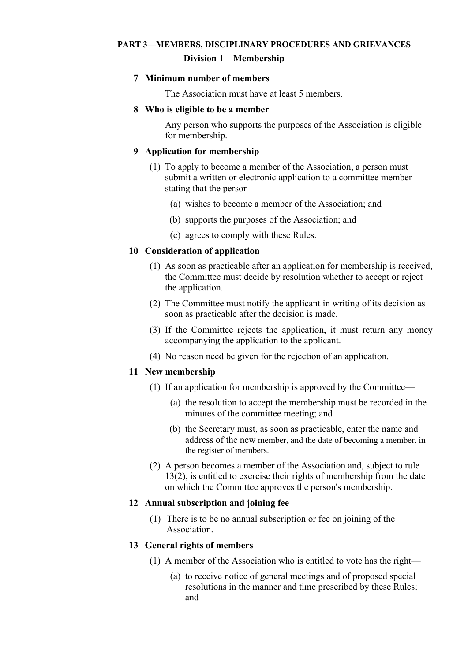# **PART 3—MEMBERS, DISCIPLINARY PROCEDURES AND GRIEVANCES Division 1—Membership**

### **7 Minimum number of members**

The Association must have at least 5 members.

### **8 Who is eligible to be a member**

Any person who supports the purposes of the Association is eligible for membership.

### **9 Application for membership**

- (1) To apply to become a member of the Association, a person must submit a written or electronic application to a committee member stating that the person—
	- (a) wishes to become a member of the Association; and
	- (b) supports the purposes of the Association; and
	- (c) agrees to comply with these Rules.

### **10 Consideration of application**

- (1) As soon as practicable after an application for membership is received, the Committee must decide by resolution whether to accept or reject the application.
- (2) The Committee must notify the applicant in writing of its decision as soon as practicable after the decision is made.
- (3) If the Committee rejects the application, it must return any money accompanying the application to the applicant.
- (4) No reason need be given for the rejection of an application.

#### **11 New membership**

- (1) If an application for membership is approved by the Committee—
	- (a) the resolution to accept the membership must be recorded in the minutes of the committee meeting; and
	- (b) the Secretary must, as soon as practicable, enter the name and address of the new member, and the date of becoming a member, in the register of members.
- (2) A person becomes a member of the Association and, subject to rule 13(2), is entitled to exercise their rights of membership from the date on which the Committee approves the person's membership.

### **12 Annual subscription and joining fee**

(1) There is to be no annual subscription or fee on joining of the Association.

#### **13 General rights of members**

- (1) A member of the Association who is entitled to vote has the right—
	- (a) to receive notice of general meetings and of proposed special resolutions in the manner and time prescribed by these Rules; and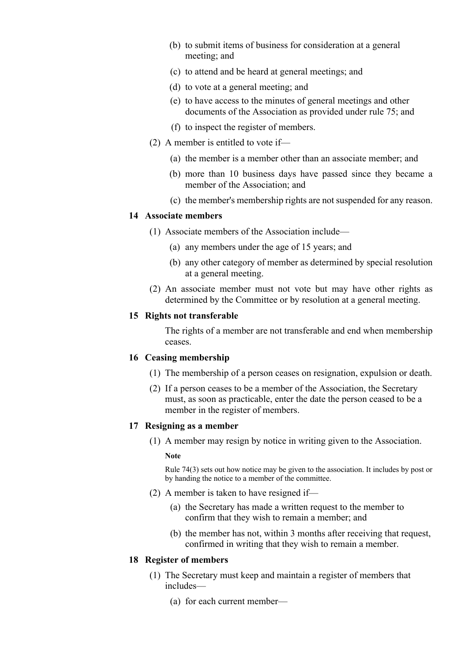- (b) to submit items of business for consideration at a general meeting; and
- (c) to attend and be heard at general meetings; and
- (d) to vote at a general meeting; and
- (e) to have access to the minutes of general meetings and other documents of the Association as provided under rule 75; and
- (f) to inspect the register of members.
- (2) A member is entitled to vote if—
	- (a) the member is a member other than an associate member; and
	- (b) more than 10 business days have passed since they became a member of the Association; and
	- (c) the member's membership rights are not suspended for any reason.

#### **14 Associate members**

- (1) Associate members of the Association include—
	- (a) any members under the age of 15 years; and
	- (b) any other category of member as determined by special resolution at a general meeting.
- (2) An associate member must not vote but may have other rights as determined by the Committee or by resolution at a general meeting.

### **15 Rights not transferable**

The rights of a member are not transferable and end when membership ceases.

### **16 Ceasing membership**

- (1) The membership of a person ceases on resignation, expulsion or death.
- (2) If a person ceases to be a member of the Association, the Secretary must, as soon as practicable, enter the date the person ceased to be a member in the register of members.

# **17 Resigning as a member**

(1) A member may resign by notice in writing given to the Association.

#### **Note**

Rule 74(3) sets out how notice may be given to the association. It includes by post or by handing the notice to a member of the committee.

- (2) A member is taken to have resigned if—
	- (a) the Secretary has made a written request to the member to confirm that they wish to remain a member; and
	- (b) the member has not, within 3 months after receiving that request, confirmed in writing that they wish to remain a member.

# **18 Register of members**

- (1) The Secretary must keep and maintain a register of members that includes—
	- (a) for each current member—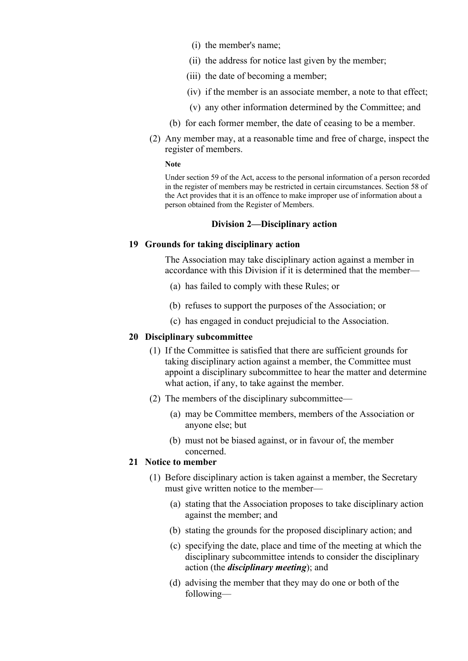- (i) the member's name;
- (ii) the address for notice last given by the member;
- (iii) the date of becoming a member;
- (iv) if the member is an associate member, a note to that effect;
- (v) any other information determined by the Committee; and
- (b) for each former member, the date of ceasing to be a member.
- (2) Any member may, at a reasonable time and free of charge, inspect the register of members.

#### **Note**

Under section 59 of the Act, access to the personal information of a person recorded in the register of members may be restricted in certain circumstances. Section 58 of the Act provides that it is an offence to make improper use of information about a person obtained from the Register of Members.

#### **Division 2—Disciplinary action**

#### **19 Grounds for taking disciplinary action**

The Association may take disciplinary action against a member in accordance with this Division if it is determined that the member—

- (a) has failed to comply with these Rules; or
- (b) refuses to support the purposes of the Association; or
- (c) has engaged in conduct prejudicial to the Association.

#### **20 Disciplinary subcommittee**

- (1) If the Committee is satisfied that there are sufficient grounds for taking disciplinary action against a member, the Committee must appoint a disciplinary subcommittee to hear the matter and determine what action, if any, to take against the member.
- (2) The members of the disciplinary subcommittee—
	- (a) may be Committee members, members of the Association or anyone else; but
	- (b) must not be biased against, or in favour of, the member concerned.

# **21 Notice to member**

- (1) Before disciplinary action is taken against a member, the Secretary must give written notice to the member—
	- (a) stating that the Association proposes to take disciplinary action against the member; and
	- (b) stating the grounds for the proposed disciplinary action; and
	- (c) specifying the date, place and time of the meeting at which the disciplinary subcommittee intends to consider the disciplinary action (the *disciplinary meeting*); and
	- (d) advising the member that they may do one or both of the following—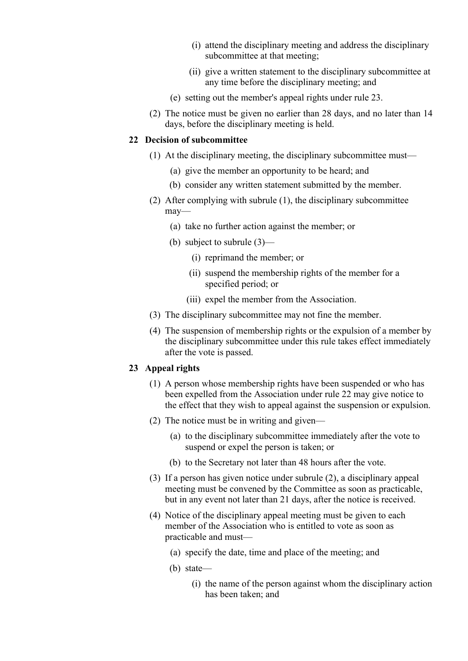- (i) attend the disciplinary meeting and address the disciplinary subcommittee at that meeting;
- (ii) give a written statement to the disciplinary subcommittee at any time before the disciplinary meeting; and
- (e) setting out the member's appeal rights under rule 23.
- (2) The notice must be given no earlier than 28 days, and no later than 14 days, before the disciplinary meeting is held.

### **22 Decision of subcommittee**

- (1) At the disciplinary meeting, the disciplinary subcommittee must—
	- (a) give the member an opportunity to be heard; and
	- (b) consider any written statement submitted by the member.
- (2) After complying with subrule (1), the disciplinary subcommittee may—
	- (a) take no further action against the member; or
	- (b) subject to subrule (3)—
		- (i) reprimand the member; or
		- (ii) suspend the membership rights of the member for a specified period; or
		- (iii) expel the member from the Association.
- (3) The disciplinary subcommittee may not fine the member.
- (4) The suspension of membership rights or the expulsion of a member by the disciplinary subcommittee under this rule takes effect immediately after the vote is passed.

# **23 Appeal rights**

- (1) A person whose membership rights have been suspended or who has been expelled from the Association under rule 22 may give notice to the effect that they wish to appeal against the suspension or expulsion.
- (2) The notice must be in writing and given—
	- (a) to the disciplinary subcommittee immediately after the vote to suspend or expel the person is taken; or
	- (b) to the Secretary not later than 48 hours after the vote.
- (3) If a person has given notice under subrule (2), a disciplinary appeal meeting must be convened by the Committee as soon as practicable, but in any event not later than 21 days, after the notice is received.
- (4) Notice of the disciplinary appeal meeting must be given to each member of the Association who is entitled to vote as soon as practicable and must—
	- (a) specify the date, time and place of the meeting; and
	- (b) state—
		- (i) the name of the person against whom the disciplinary action has been taken; and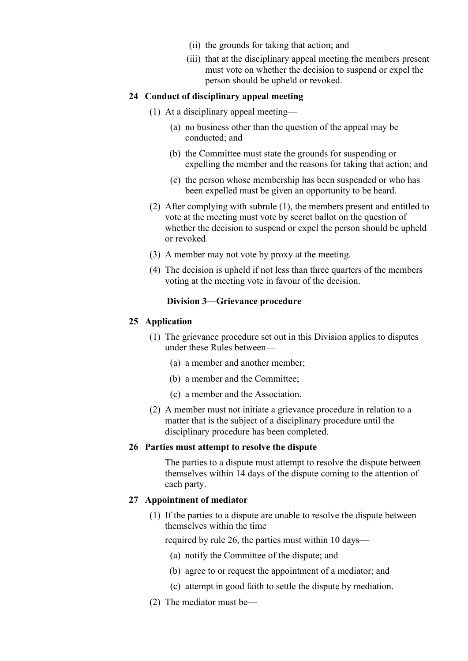- (ii) the grounds for taking that action; and
- (iii) that at the disciplinary appeal meeting the members present must vote on whether the decision to suspend or expel the person should be upheld or revoked.

### **24 Conduct of disciplinary appeal meeting**

- (1) At a disciplinary appeal meeting—
	- (a) no business other than the question of the appeal may be conducted; and
	- (b) the Committee must state the grounds for suspending or expelling the member and the reasons for taking that action; and
	- (c) the person whose membership has been suspended or who has been expelled must be given an opportunity to be heard.
- (2) After complying with subrule (1), the members present and entitled to vote at the meeting must vote by secret ballot on the question of whether the decision to suspend or expel the person should be upheld or revoked.
- (3) A member may not vote by proxy at the meeting.
- (4) The decision is upheld if not less than three quarters of the members voting at the meeting vote in favour of the decision.

#### **Division 3—Grievance procedure**

### **25 Application**

- (1) The grievance procedure set out in this Division applies to disputes under these Rules between—
	- (a) a member and another member;
	- (b) a member and the Committee;
	- (c) a member and the Association.
- (2) A member must not initiate a grievance procedure in relation to a matter that is the subject of a disciplinary procedure until the disciplinary procedure has been completed.

#### **26 Parties must attempt to resolve the dispute**

The parties to a dispute must attempt to resolve the dispute between themselves within 14 days of the dispute coming to the attention of each party.

#### **27 Appointment of mediator**

(1) If the parties to a dispute are unable to resolve the dispute between themselves within the time

required by rule 26, the parties must within 10 days—

- (a) notify the Committee of the dispute; and
- (b) agree to or request the appointment of a mediator; and
- (c) attempt in good faith to settle the dispute by mediation.
- (2) The mediator must be—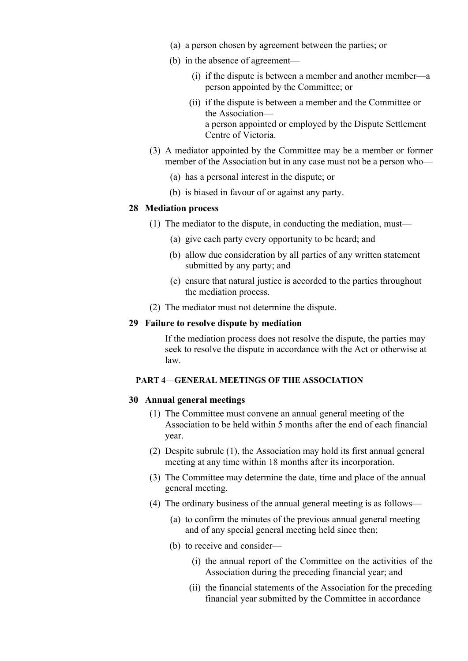- (a) a person chosen by agreement between the parties; or
- (b) in the absence of agreement—
	- (i) if the dispute is between a member and another member—a person appointed by the Committee; or
	- (ii) if the dispute is between a member and the Committee or the Association a person appointed or employed by the Dispute Settlement Centre of Victoria.
- (3) A mediator appointed by the Committee may be a member or former member of the Association but in any case must not be a person who—
	- (a) has a personal interest in the dispute; or
	- (b) is biased in favour of or against any party.

#### **28 Mediation process**

- (1) The mediator to the dispute, in conducting the mediation, must—
	- (a) give each party every opportunity to be heard; and
	- (b) allow due consideration by all parties of any written statement submitted by any party; and
	- (c) ensure that natural justice is accorded to the parties throughout the mediation process.
- (2) The mediator must not determine the dispute.

#### **29 Failure to resolve dispute by mediation**

If the mediation process does not resolve the dispute, the parties may seek to resolve the dispute in accordance with the Act or otherwise at law.

#### **PART 4—GENERAL MEETINGS OF THE ASSOCIATION**

### **30 Annual general meetings**

- (1) The Committee must convene an annual general meeting of the Association to be held within 5 months after the end of each financial year.
- (2) Despite subrule (1), the Association may hold its first annual general meeting at any time within 18 months after its incorporation.
- (3) The Committee may determine the date, time and place of the annual general meeting.
- (4) The ordinary business of the annual general meeting is as follows—
	- (a) to confirm the minutes of the previous annual general meeting and of any special general meeting held since then;
	- (b) to receive and consider—
		- (i) the annual report of the Committee on the activities of the Association during the preceding financial year; and
		- (ii) the financial statements of the Association for the preceding financial year submitted by the Committee in accordance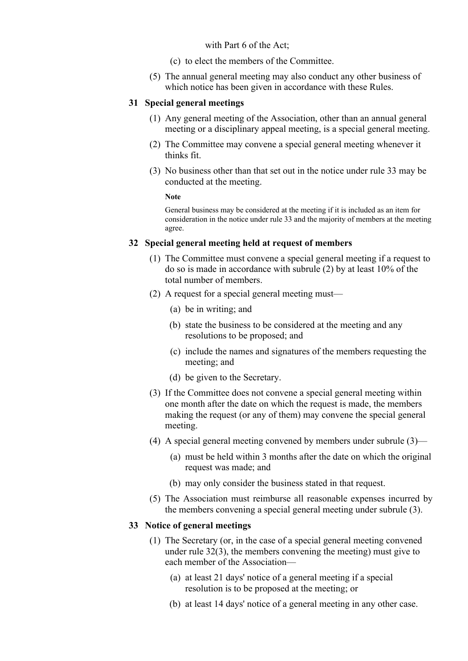with Part 6 of the Act;

- (c) to elect the members of the Committee.
- (5) The annual general meeting may also conduct any other business of which notice has been given in accordance with these Rules.

### **31 Special general meetings**

- (1) Any general meeting of the Association, other than an annual general meeting or a disciplinary appeal meeting, is a special general meeting.
- (2) The Committee may convene a special general meeting whenever it thinks fit.
- (3) No business other than that set out in the notice under rule 33 may be conducted at the meeting.

**Note**

General business may be considered at the meeting if it is included as an item for consideration in the notice under rule 33 and the majority of members at the meeting agree.

# **32 Special general meeting held at request of members**

- (1) The Committee must convene a special general meeting if a request to do so is made in accordance with subrule (2) by at least 10% of the total number of members.
- (2) A request for a special general meeting must—
	- (a) be in writing; and
	- (b) state the business to be considered at the meeting and any resolutions to be proposed; and
	- (c) include the names and signatures of the members requesting the meeting; and
	- (d) be given to the Secretary.
- (3) If the Committee does not convene a special general meeting within one month after the date on which the request is made, the members making the request (or any of them) may convene the special general meeting.
- (4) A special general meeting convened by members under subrule (3)—
	- (a) must be held within 3 months after the date on which the original request was made; and
	- (b) may only consider the business stated in that request.
- (5) The Association must reimburse all reasonable expenses incurred by the members convening a special general meeting under subrule (3).

# **33 Notice of general meetings**

- (1) The Secretary (or, in the case of a special general meeting convened under rule 32(3), the members convening the meeting) must give to each member of the Association—
	- (a) at least 21 days' notice of a general meeting if a special resolution is to be proposed at the meeting; or
	- (b) at least 14 days' notice of a general meeting in any other case.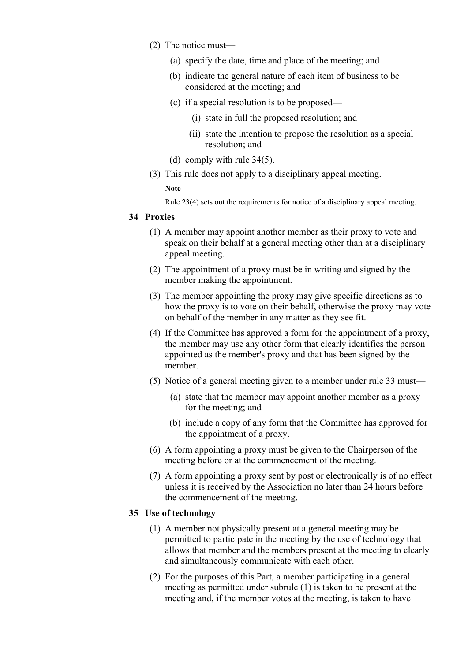- (2) The notice must—
	- (a) specify the date, time and place of the meeting; and
	- (b) indicate the general nature of each item of business to be considered at the meeting; and
	- (c) if a special resolution is to be proposed—
		- (i) state in full the proposed resolution; and
		- (ii) state the intention to propose the resolution as a special resolution; and
	- (d) comply with rule 34(5).
- (3) This rule does not apply to a disciplinary appeal meeting.

#### **Note**

Rule 23(4) sets out the requirements for notice of a disciplinary appeal meeting.

### **34 Proxies**

- (1) A member may appoint another member as their proxy to vote and speak on their behalf at a general meeting other than at a disciplinary appeal meeting.
- (2) The appointment of a proxy must be in writing and signed by the member making the appointment.
- (3) The member appointing the proxy may give specific directions as to how the proxy is to vote on their behalf, otherwise the proxy may vote on behalf of the member in any matter as they see fit.
- (4) If the Committee has approved a form for the appointment of a proxy, the member may use any other form that clearly identifies the person appointed as the member's proxy and that has been signed by the member.
- (5) Notice of a general meeting given to a member under rule 33 must—
	- (a) state that the member may appoint another member as a proxy for the meeting; and
	- (b) include a copy of any form that the Committee has approved for the appointment of a proxy.
- (6) A form appointing a proxy must be given to the Chairperson of the meeting before or at the commencement of the meeting.
- (7) A form appointing a proxy sent by post or electronically is of no effect unless it is received by the Association no later than 24 hours before the commencement of the meeting.

# **35 Use of technology**

- (1) A member not physically present at a general meeting may be permitted to participate in the meeting by the use of technology that allows that member and the members present at the meeting to clearly and simultaneously communicate with each other.
- (2) For the purposes of this Part, a member participating in a general meeting as permitted under subrule (1) is taken to be present at the meeting and, if the member votes at the meeting, is taken to have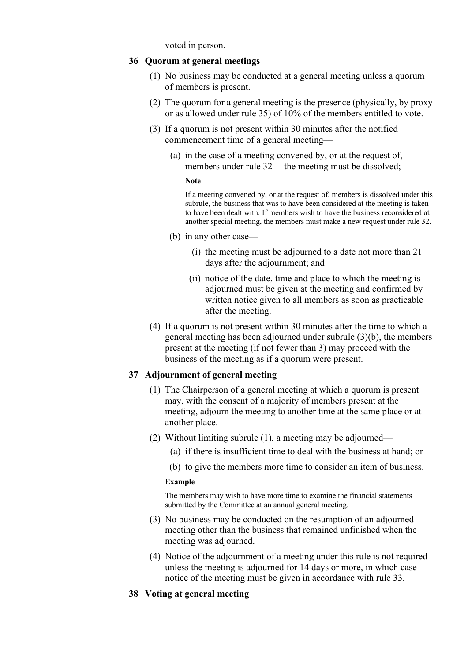voted in person.

### **36 Quorum at general meetings**

- (1) No business may be conducted at a general meeting unless a quorum of members is present.
- (2) The quorum for a general meeting is the presence (physically, by proxy or as allowed under rule 35) of 10% of the members entitled to vote.
- (3) If a quorum is not present within 30 minutes after the notified commencement time of a general meeting—
	- (a) in the case of a meeting convened by, or at the request of, members under rule 32— the meeting must be dissolved;

#### **Note**

If a meeting convened by, or at the request of, members is dissolved under this subrule, the business that was to have been considered at the meeting is taken to have been dealt with. If members wish to have the business reconsidered at another special meeting, the members must make a new request under rule 32.

- (b) in any other case—
	- (i) the meeting must be adjourned to a date not more than 21 days after the adjournment; and
	- (ii) notice of the date, time and place to which the meeting is adjourned must be given at the meeting and confirmed by written notice given to all members as soon as practicable after the meeting.
- (4) If a quorum is not present within 30 minutes after the time to which a general meeting has been adjourned under subrule (3)(b), the members present at the meeting (if not fewer than 3) may proceed with the business of the meeting as if a quorum were present.

# **37 Adjournment of general meeting**

- (1) The Chairperson of a general meeting at which a quorum is present may, with the consent of a majority of members present at the meeting, adjourn the meeting to another time at the same place or at another place.
- (2) Without limiting subrule (1), a meeting may be adjourned—
	- (a) if there is insufficient time to deal with the business at hand; or
	- (b) to give the members more time to consider an item of business.

#### **Example**

The members may wish to have more time to examine the financial statements submitted by the Committee at an annual general meeting.

- (3) No business may be conducted on the resumption of an adjourned meeting other than the business that remained unfinished when the meeting was adjourned.
- (4) Notice of the adjournment of a meeting under this rule is not required unless the meeting is adjourned for 14 days or more, in which case notice of the meeting must be given in accordance with rule 33.
- **38 Voting at general meeting**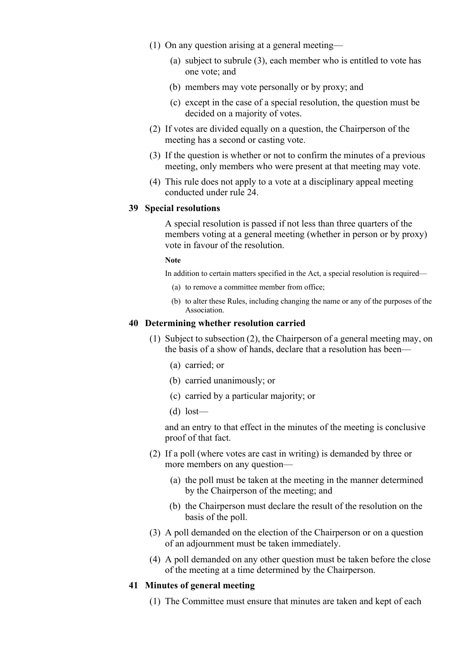- (1) On any question arising at a general meeting—
	- (a) subject to subrule (3), each member who is entitled to vote has one vote; and
	- (b) members may vote personally or by proxy; and
	- (c) except in the case of a special resolution, the question must be decided on a majority of votes.
- (2) If votes are divided equally on a question, the Chairperson of the meeting has a second or casting vote.
- (3) If the question is whether or not to confirm the minutes of a previous meeting, only members who were present at that meeting may vote.
- (4) This rule does not apply to a vote at a disciplinary appeal meeting conducted under rule 24.

# **39 Special resolutions**

A special resolution is passed if not less than three quarters of the members voting at a general meeting (whether in person or by proxy) vote in favour of the resolution.

#### **Note**

In addition to certain matters specified in the Act, a special resolution is required—

- (a) to remove a committee member from office;
- (b) to alter these Rules, including changing the name or any of the purposes of the Association.

### **40 Determining whether resolution carried**

- (1) Subject to subsection (2), the Chairperson of a general meeting may, on the basis of a show of hands, declare that a resolution has been—
	- (a) carried; or
	- (b) carried unanimously; or
	- (c) carried by a particular majority; or
	- $(d)$  lost—

and an entry to that effect in the minutes of the meeting is conclusive proof of that fact.

- (2) If a poll (where votes are cast in writing) is demanded by three or more members on any question—
	- (a) the poll must be taken at the meeting in the manner determined by the Chairperson of the meeting; and
	- (b) the Chairperson must declare the result of the resolution on the basis of the poll.
- (3) A poll demanded on the election of the Chairperson or on a question of an adjournment must be taken immediately.
- (4) A poll demanded on any other question must be taken before the close of the meeting at a time determined by the Chairperson.

### **41 Minutes of general meeting**

(1) The Committee must ensure that minutes are taken and kept of each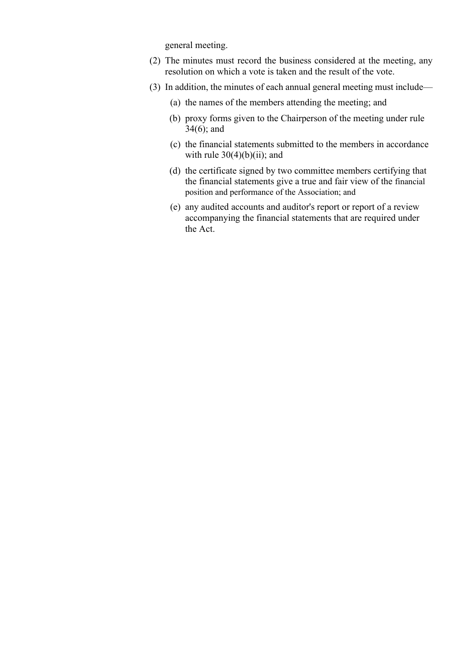general meeting.

- (2) The minutes must record the business considered at the meeting, any resolution on which a vote is taken and the result of the vote.
- (3) In addition, the minutes of each annual general meeting must include—
	- (a) the names of the members attending the meeting; and
	- (b) proxy forms given to the Chairperson of the meeting under rule 34(6); and
	- (c) the financial statements submitted to the members in accordance with rule  $30(4)(b)(ii)$ ; and
	- (d) the certificate signed by two committee members certifying that the financial statements give a true and fair view of the financial position and performance of the Association; and
	- (e) any audited accounts and auditor's report or report of a review accompanying the financial statements that are required under the Act.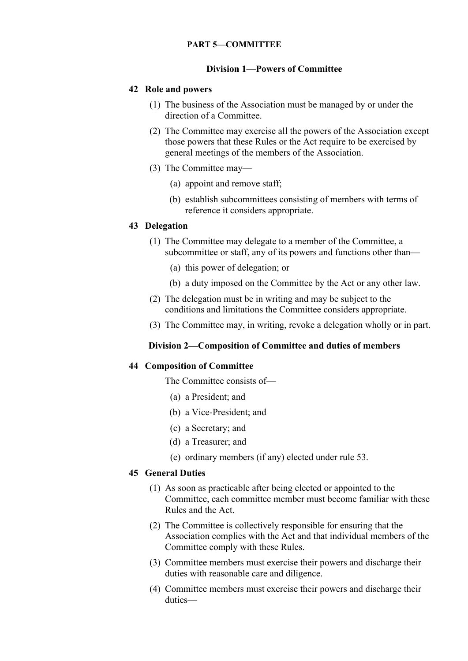### **PART 5—COMMITTEE**

### **Division 1—Powers of Committee**

### **42 Role and powers**

- (1) The business of the Association must be managed by or under the direction of a Committee.
- (2) The Committee may exercise all the powers of the Association except those powers that these Rules or the Act require to be exercised by general meetings of the members of the Association.
- (3) The Committee may—
	- (a) appoint and remove staff;
	- (b) establish subcommittees consisting of members with terms of reference it considers appropriate.

### **43 Delegation**

- (1) The Committee may delegate to a member of the Committee, a subcommittee or staff, any of its powers and functions other than—
	- (a) this power of delegation; or
	- (b) a duty imposed on the Committee by the Act or any other law.
- (2) The delegation must be in writing and may be subject to the conditions and limitations the Committee considers appropriate.
- (3) The Committee may, in writing, revoke a delegation wholly or in part.

#### **Division 2—Composition of Committee and duties of members**

#### **44 Composition of Committee**

The Committee consists of—

- (a) a President; and
- (b) a Vice-President; and
- (c) a Secretary; and
- (d) a Treasurer; and
- (e) ordinary members (if any) elected under rule 53.

# **45 General Duties**

- (1) As soon as practicable after being elected or appointed to the Committee, each committee member must become familiar with these Rules and the Act.
- (2) The Committee is collectively responsible for ensuring that the Association complies with the Act and that individual members of the Committee comply with these Rules.
- (3) Committee members must exercise their powers and discharge their duties with reasonable care and diligence.
- (4) Committee members must exercise their powers and discharge their duties—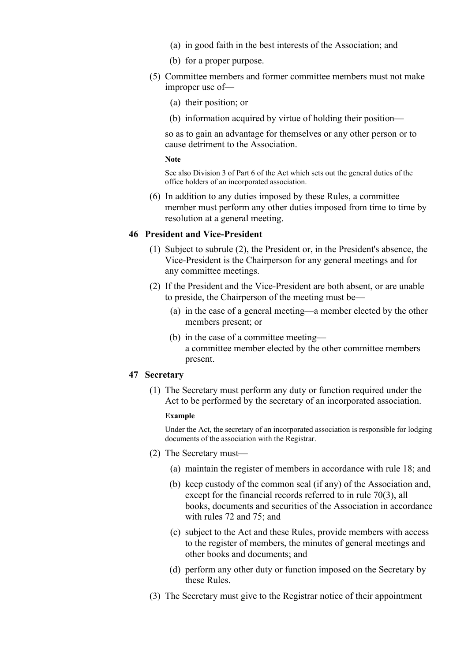- (a) in good faith in the best interests of the Association; and
- (b) for a proper purpose.
- (5) Committee members and former committee members must not make improper use of—
	- (a) their position; or
	- (b) information acquired by virtue of holding their position—

so as to gain an advantage for themselves or any other person or to cause detriment to the Association.

**Note**

See also Division 3 of Part 6 of the Act which sets out the general duties of the office holders of an incorporated association.

(6) In addition to any duties imposed by these Rules, a committee member must perform any other duties imposed from time to time by resolution at a general meeting.

# **46 President and Vice-President**

- (1) Subject to subrule (2), the President or, in the President's absence, the Vice-President is the Chairperson for any general meetings and for any committee meetings.
- (2) If the President and the Vice-President are both absent, or are unable to preside, the Chairperson of the meeting must be—
	- (a) in the case of a general meeting—a member elected by the other members present; or
	- (b) in the case of a committee meeting a committee member elected by the other committee members present.

### **47 Secretary**

(1) The Secretary must perform any duty or function required under the Act to be performed by the secretary of an incorporated association.

#### **Example**

Under the Act, the secretary of an incorporated association is responsible for lodging documents of the association with the Registrar.

- (2) The Secretary must—
	- (a) maintain the register of members in accordance with rule 18; and
	- (b) keep custody of the common seal (if any) of the Association and, except for the financial records referred to in rule 70(3), all books, documents and securities of the Association in accordance with rules 72 and 75; and
	- (c) subject to the Act and these Rules, provide members with access to the register of members, the minutes of general meetings and other books and documents; and
	- (d) perform any other duty or function imposed on the Secretary by these Rules.
- (3) The Secretary must give to the Registrar notice of their appointment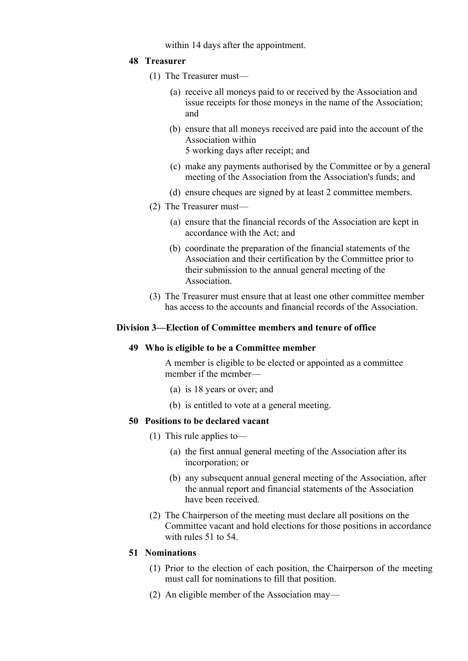within 14 days after the appointment.

# **48 Treasurer**

- (1) The Treasurer must—
	- (a) receive all moneys paid to or received by the Association and issue receipts for those moneys in the name of the Association; and
	- (b) ensure that all moneys received are paid into the account of the Association within 5 working days after receipt; and
	- (c) make any payments authorised by the Committee or by a general meeting of the Association from the Association's funds; and
	- (d) ensure cheques are signed by at least 2 committee members.
- (2) The Treasurer must—
	- (a) ensure that the financial records of the Association are kept in accordance with the Act; and
	- (b) coordinate the preparation of the financial statements of the Association and their certification by the Committee prior to their submission to the annual general meeting of the Association.
- (3) The Treasurer must ensure that at least one other committee member has access to the accounts and financial records of the Association.

# **Division 3—Election of Committee members and tenure of office**

# **49 Who is eligible to be a Committee member**

A member is eligible to be elected or appointed as a committee member if the member—

- (a) is 18 years or over; and
- (b) is entitled to vote at a general meeting.

# **50 Positions to be declared vacant**

- (1) This rule applies to—
	- (a) the first annual general meeting of the Association after its incorporation; or
	- (b) any subsequent annual general meeting of the Association, after the annual report and financial statements of the Association have been received.
- (2) The Chairperson of the meeting must declare all positions on the Committee vacant and hold elections for those positions in accordance with rules 51 to 54.

# **51 Nominations**

- (1) Prior to the election of each position, the Chairperson of the meeting must call for nominations to fill that position.
- (2) An eligible member of the Association may—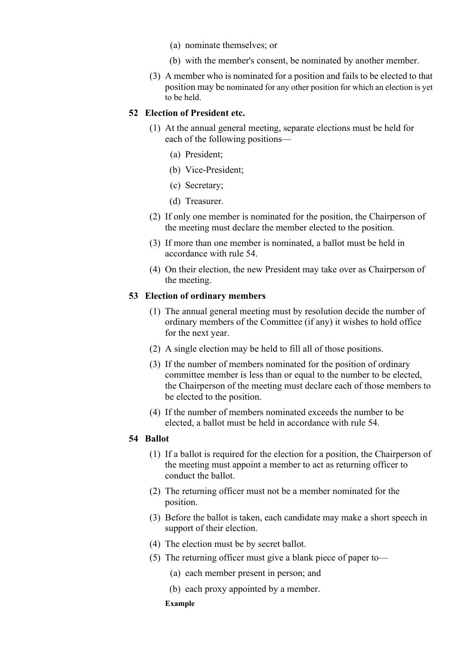- (a) nominate themselves; or
- (b) with the member's consent, be nominated by another member.
- (3) A member who is nominated for a position and fails to be elected to that position may be nominated for any other position for which an election is yet to be held.

### **52 Election of President etc.**

- (1) At the annual general meeting, separate elections must be held for each of the following positions—
	- (a) President;
	- (b) Vice-President;
	- (c) Secretary;
	- (d) Treasurer.
- (2) If only one member is nominated for the position, the Chairperson of the meeting must declare the member elected to the position.
- (3) If more than one member is nominated, a ballot must be held in accordance with rule 54.
- (4) On their election, the new President may take over as Chairperson of the meeting.

### **53 Election of ordinary members**

- (1) The annual general meeting must by resolution decide the number of ordinary members of the Committee (if any) it wishes to hold office for the next year.
- (2) A single election may be held to fill all of those positions.
- (3) If the number of members nominated for the position of ordinary committee member is less than or equal to the number to be elected, the Chairperson of the meeting must declare each of those members to be elected to the position.
- (4) If the number of members nominated exceeds the number to be elected, a ballot must be held in accordance with rule 54.

#### **54 Ballot**

- (1) If a ballot is required for the election for a position, the Chairperson of the meeting must appoint a member to act as returning officer to conduct the ballot.
- (2) The returning officer must not be a member nominated for the position.
- (3) Before the ballot is taken, each candidate may make a short speech in support of their election.
- (4) The election must be by secret ballot.
- (5) The returning officer must give a blank piece of paper to—
	- (a) each member present in person; and
	- (b) each proxy appointed by a member.

#### **Example**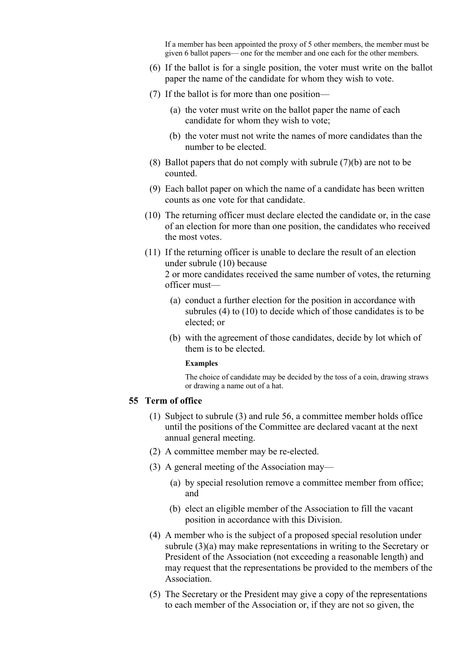If a member has been appointed the proxy of 5 other members, the member must be given 6 ballot papers— one for the member and one each for the other members.

- (6) If the ballot is for a single position, the voter must write on the ballot paper the name of the candidate for whom they wish to vote.
- (7) If the ballot is for more than one position—
	- (a) the voter must write on the ballot paper the name of each candidate for whom they wish to vote;
	- (b) the voter must not write the names of more candidates than the number to be elected.
- (8) Ballot papers that do not comply with subrule (7)(b) are not to be counted.
- (9) Each ballot paper on which the name of a candidate has been written counts as one vote for that candidate.
- (10) The returning officer must declare elected the candidate or, in the case of an election for more than one position, the candidates who received the most votes.
- (11) If the returning officer is unable to declare the result of an election under subrule (10) because

- (a) conduct a further election for the position in accordance with subrules (4) to (10) to decide which of those candidates is to be elected; or
- (b) with the agreement of those candidates, decide by lot which of them is to be elected.

#### **Examples**

The choice of candidate may be decided by the toss of a coin, drawing straws or drawing a name out of a hat.

### **55 Term of office**

- (1) Subject to subrule (3) and rule 56, a committee member holds office until the positions of the Committee are declared vacant at the next annual general meeting.
- (2) A committee member may be re-elected.
- (3) A general meeting of the Association may—
	- (a) by special resolution remove a committee member from office; and
	- (b) elect an eligible member of the Association to fill the vacant position in accordance with this Division.
- (4) A member who is the subject of a proposed special resolution under subrule (3)(a) may make representations in writing to the Secretary or President of the Association (not exceeding a reasonable length) and may request that the representations be provided to the members of the Association.
- (5) The Secretary or the President may give a copy of the representations to each member of the Association or, if they are not so given, the

<sup>2</sup> or more candidates received the same number of votes, the returning officer must—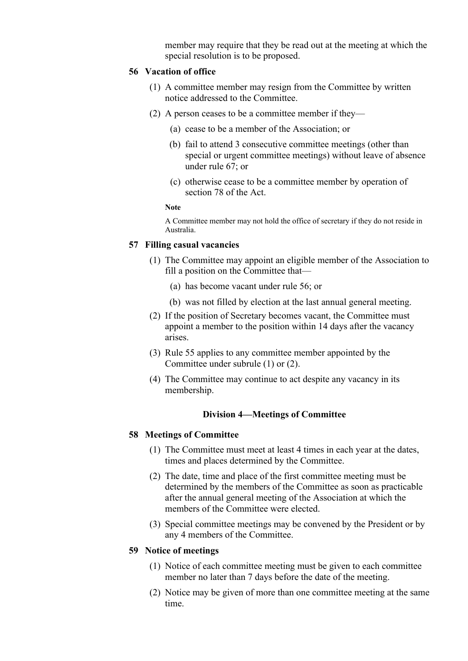member may require that they be read out at the meeting at which the special resolution is to be proposed.

### **56 Vacation of office**

- (1) A committee member may resign from the Committee by written notice addressed to the Committee.
- (2) A person ceases to be a committee member if they—
	- (a) cease to be a member of the Association; or
	- (b) fail to attend 3 consecutive committee meetings (other than special or urgent committee meetings) without leave of absence under rule 67; or
	- (c) otherwise cease to be a committee member by operation of section 78 of the Act.

#### **Note**

A Committee member may not hold the office of secretary if they do not reside in Australia.

### **57 Filling casual vacancies**

- (1) The Committee may appoint an eligible member of the Association to fill a position on the Committee that—
	- (a) has become vacant under rule 56; or
	- (b) was not filled by election at the last annual general meeting.
- (2) If the position of Secretary becomes vacant, the Committee must appoint a member to the position within 14 days after the vacancy arises.
- (3) Rule 55 applies to any committee member appointed by the Committee under subrule (1) or (2).
- (4) The Committee may continue to act despite any vacancy in its membership.

#### **Division 4—Meetings of Committee**

#### **58 Meetings of Committee**

- (1) The Committee must meet at least 4 times in each year at the dates, times and places determined by the Committee.
- (2) The date, time and place of the first committee meeting must be determined by the members of the Committee as soon as practicable after the annual general meeting of the Association at which the members of the Committee were elected.
- (3) Special committee meetings may be convened by the President or by any 4 members of the Committee.

### **59 Notice of meetings**

- (1) Notice of each committee meeting must be given to each committee member no later than 7 days before the date of the meeting.
- (2) Notice may be given of more than one committee meeting at the same time.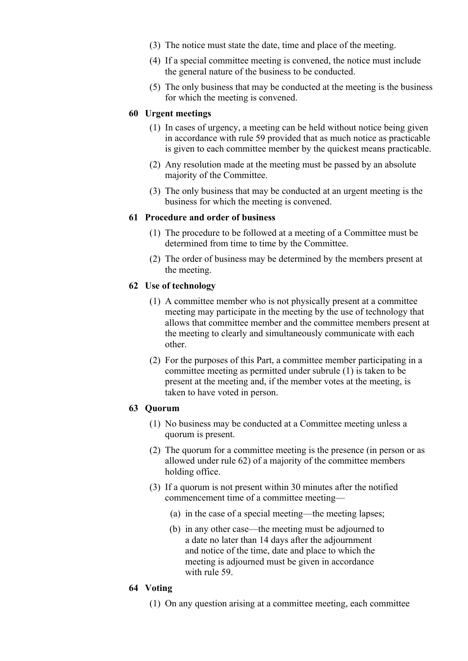- (3) The notice must state the date, time and place of the meeting.
- (4) If a special committee meeting is convened, the notice must include the general nature of the business to be conducted.
- (5) The only business that may be conducted at the meeting is the business for which the meeting is convened.

# **60 Urgent meetings**

- (1) In cases of urgency, a meeting can be held without notice being given in accordance with rule 59 provided that as much notice as practicable is given to each committee member by the quickest means practicable.
- (2) Any resolution made at the meeting must be passed by an absolute majority of the Committee.
- (3) The only business that may be conducted at an urgent meeting is the business for which the meeting is convened.

# **61 Procedure and order of business**

- (1) The procedure to be followed at a meeting of a Committee must be determined from time to time by the Committee.
- (2) The order of business may be determined by the members present at the meeting.

# **62 Use of technology**

- (1) A committee member who is not physically present at a committee meeting may participate in the meeting by the use of technology that allows that committee member and the committee members present at the meeting to clearly and simultaneously communicate with each other.
- (2) For the purposes of this Part, a committee member participating in a committee meeting as permitted under subrule (1) is taken to be present at the meeting and, if the member votes at the meeting, is taken to have voted in person.

# **63 Quorum**

- (1) No business may be conducted at a Committee meeting unless a quorum is present.
- (2) The quorum for a committee meeting is the presence (in person or as allowed under rule 62) of a majority of the committee members holding office.
- (3) If a quorum is not present within 30 minutes after the notified commencement time of a committee meeting—
	- (a) in the case of a special meeting—the meeting lapses;
	- (b) in any other case—the meeting must be adjourned to a date no later than 14 days after the adjournment and notice of the time, date and place to which the meeting is adjourned must be given in accordance with rule 59.

# **64 Voting**

(1) On any question arising at a committee meeting, each committee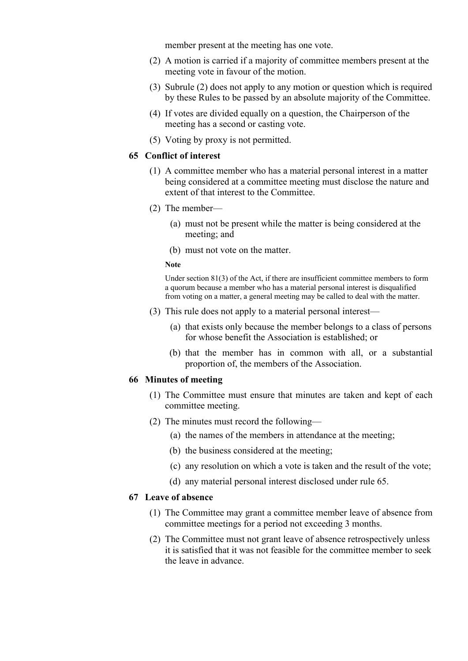member present at the meeting has one vote.

- (2) A motion is carried if a majority of committee members present at the meeting vote in favour of the motion.
- (3) Subrule (2) does not apply to any motion or question which is required by these Rules to be passed by an absolute majority of the Committee.
- (4) If votes are divided equally on a question, the Chairperson of the meeting has a second or casting vote.
- (5) Voting by proxy is not permitted.

### **65 Conflict of interest**

- (1) A committee member who has a material personal interest in a matter being considered at a committee meeting must disclose the nature and extent of that interest to the Committee.
- (2) The member—
	- (a) must not be present while the matter is being considered at the meeting; and
	- (b) must not vote on the matter.

#### **Note**

Under section 81(3) of the Act, if there are insufficient committee members to form a quorum because a member who has a material personal interest is disqualified from voting on a matter, a general meeting may be called to deal with the matter.

- (3) This rule does not apply to a material personal interest—
	- (a) that exists only because the member belongs to a class of persons for whose benefit the Association is established; or
	- (b) that the member has in common with all, or a substantial proportion of, the members of the Association.

#### **66 Minutes of meeting**

- (1) The Committee must ensure that minutes are taken and kept of each committee meeting.
- (2) The minutes must record the following—
	- (a) the names of the members in attendance at the meeting;
	- (b) the business considered at the meeting;
	- (c) any resolution on which a vote is taken and the result of the vote;
	- (d) any material personal interest disclosed under rule 65.

### **67 Leave of absence**

- (1) The Committee may grant a committee member leave of absence from committee meetings for a period not exceeding 3 months.
- (2) The Committee must not grant leave of absence retrospectively unless it is satisfied that it was not feasible for the committee member to seek the leave in advance.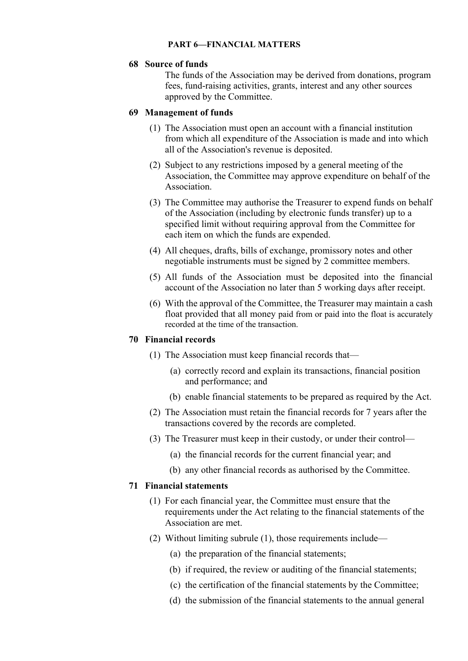### **PART 6—FINANCIAL MATTERS**

### **68 Source of funds**

The funds of the Association may be derived from donations, program fees, fund-raising activities, grants, interest and any other sources approved by the Committee.

### **69 Management of funds**

- (1) The Association must open an account with a financial institution from which all expenditure of the Association is made and into which all of the Association's revenue is deposited.
- (2) Subject to any restrictions imposed by a general meeting of the Association, the Committee may approve expenditure on behalf of the Association.
- (3) The Committee may authorise the Treasurer to expend funds on behalf of the Association (including by electronic funds transfer) up to a specified limit without requiring approval from the Committee for each item on which the funds are expended.
- (4) All cheques, drafts, bills of exchange, promissory notes and other negotiable instruments must be signed by 2 committee members.
- (5) All funds of the Association must be deposited into the financial account of the Association no later than 5 working days after receipt.
- (6) With the approval of the Committee, the Treasurer may maintain a cash float provided that all money paid from or paid into the float is accurately recorded at the time of the transaction.

### **70 Financial records**

- (1) The Association must keep financial records that—
	- (a) correctly record and explain its transactions, financial position and performance; and
	- (b) enable financial statements to be prepared as required by the Act.
- (2) The Association must retain the financial records for 7 years after the transactions covered by the records are completed.
- (3) The Treasurer must keep in their custody, or under their control—
	- (a) the financial records for the current financial year; and
	- (b) any other financial records as authorised by the Committee.

#### **71 Financial statements**

- (1) For each financial year, the Committee must ensure that the requirements under the Act relating to the financial statements of the Association are met.
- (2) Without limiting subrule (1), those requirements include—
	- (a) the preparation of the financial statements;
	- (b) if required, the review or auditing of the financial statements;
	- (c) the certification of the financial statements by the Committee;
	- (d) the submission of the financial statements to the annual general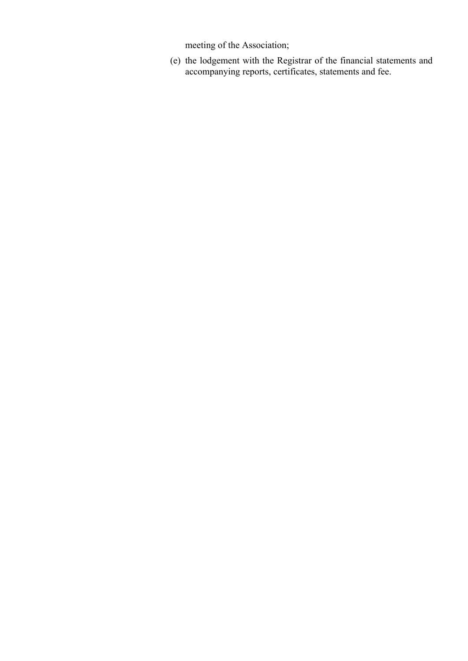meeting of the Association;

(e) the lodgement with the Registrar of the financial statements and accompanying reports, certificates, statements and fee.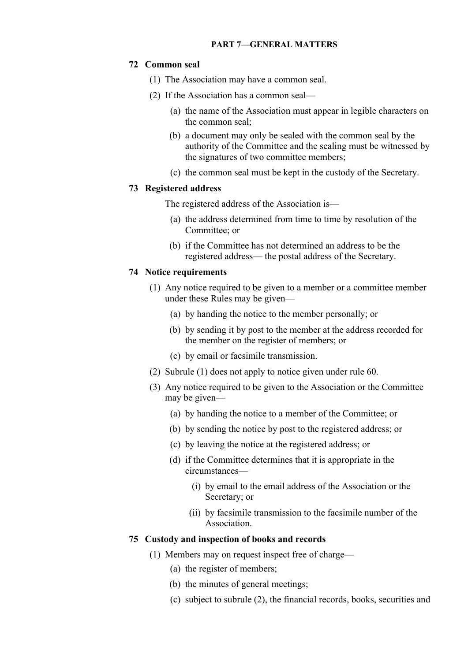### **72 Common seal**

- (1) The Association may have a common seal.
- (2) If the Association has a common seal—
	- (a) the name of the Association must appear in legible characters on the common seal;
	- (b) a document may only be sealed with the common seal by the authority of the Committee and the sealing must be witnessed by the signatures of two committee members;
	- (c) the common seal must be kept in the custody of the Secretary.

#### **73 Registered address**

The registered address of the Association is—

- (a) the address determined from time to time by resolution of the Committee; or
- (b) if the Committee has not determined an address to be the registered address— the postal address of the Secretary.

### **74 Notice requirements**

- (1) Any notice required to be given to a member or a committee member under these Rules may be given—
	- (a) by handing the notice to the member personally; or
	- (b) by sending it by post to the member at the address recorded for the member on the register of members; or
	- (c) by email or facsimile transmission.
- (2) Subrule (1) does not apply to notice given under rule 60.
- (3) Any notice required to be given to the Association or the Committee may be given—
	- (a) by handing the notice to a member of the Committee; or
	- (b) by sending the notice by post to the registered address; or
	- (c) by leaving the notice at the registered address; or
	- (d) if the Committee determines that it is appropriate in the circumstances—
		- (i) by email to the email address of the Association or the Secretary; or
		- (ii) by facsimile transmission to the facsimile number of the Association.

# **75 Custody and inspection of books and records**

- (1) Members may on request inspect free of charge—
	- (a) the register of members;
	- (b) the minutes of general meetings;
	- (c) subject to subrule (2), the financial records, books, securities and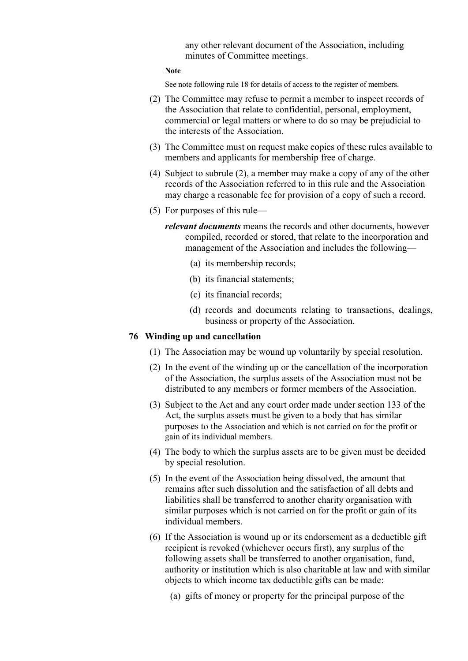any other relevant document of the Association, including minutes of Committee meetings.

#### **Note**

See note following rule 18 for details of access to the register of members.

- (2) The Committee may refuse to permit a member to inspect records of the Association that relate to confidential, personal, employment, commercial or legal matters or where to do so may be prejudicial to the interests of the Association.
- (3) The Committee must on request make copies of these rules available to members and applicants for membership free of charge.
- (4) Subject to subrule (2), a member may make a copy of any of the other records of the Association referred to in this rule and the Association may charge a reasonable fee for provision of a copy of such a record.
- (5) For purposes of this rule
	- *relevant documents* means the records and other documents, however compiled, recorded or stored, that relate to the incorporation and management of the Association and includes the following—
		- (a) its membership records;
		- (b) its financial statements;
		- (c) its financial records;
		- (d) records and documents relating to transactions, dealings, business or property of the Association.

### **76 Winding up and cancellation**

- (1) The Association may be wound up voluntarily by special resolution.
- (2) In the event of the winding up or the cancellation of the incorporation of the Association, the surplus assets of the Association must not be distributed to any members or former members of the Association.
- (3) Subject to the Act and any court order made under section 133 of the Act, the surplus assets must be given to a body that has similar purposes to the Association and which is not carried on for the profit or gain of its individual members.
- (4) The body to which the surplus assets are to be given must be decided by special resolution.
- (5) In the event of the Association being dissolved, the amount that remains after such dissolution and the satisfaction of all debts and liabilities shall be transferred to another charity organisation with similar purposes which is not carried on for the profit or gain of its individual members.
- (6) If the Association is wound up or its endorsement as a deductible gift recipient is revoked (whichever occurs first), any surplus of the following assets shall be transferred to another organisation, fund, authority or institution which is also charitable at law and with similar objects to which income tax deductible gifts can be made:
	- (a) gifts of money or property for the principal purpose of the